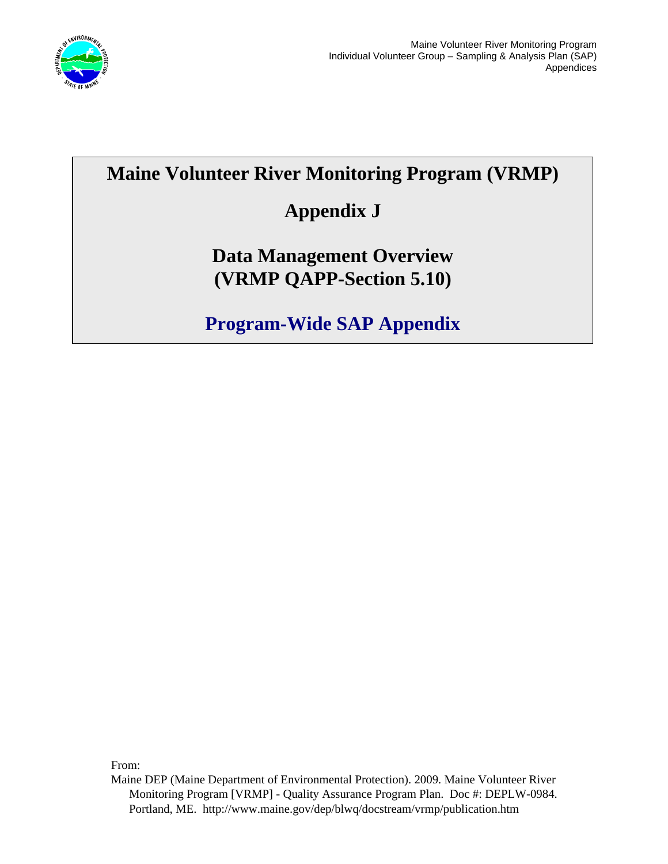

# **Maine Volunteer River Monitoring Program (VRMP)**

# **Appendix J**

# **Data Management Overview (VRMP QAPP-Section 5.10)**

**Program-Wide SAP Appendix** 

From:

Maine DEP (Maine Department of Environmental Protection). 2009. Maine Volunteer River Monitoring Program [VRMP] - Quality Assurance Program Plan. Doc #: DEPLW-0984. Portland, ME. http://www.maine.gov/dep/blwq/docstream/vrmp/publication.htm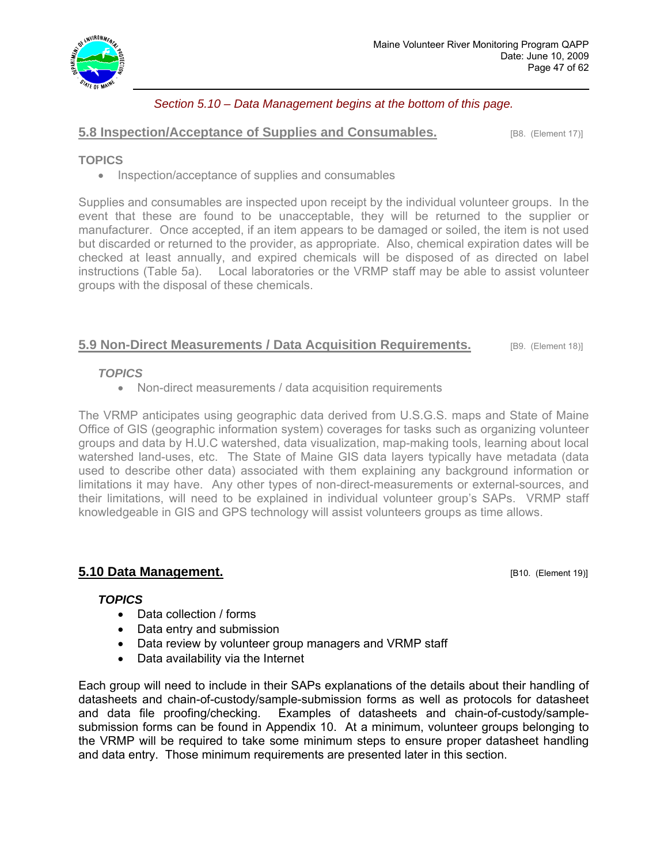

# *Section 5.10 – Data Management begins at the bottom of this page.*

## **5.8 Inspection/Acceptance of Supplies and Consumables. IBB.** (Element 17)]

## **TOPICS**

• Inspection/acceptance of supplies and consumables

Supplies and consumables are inspected upon receipt by the individual volunteer groups. In the event that these are found to be unacceptable, they will be returned to the supplier or manufacturer. Once accepted, if an item appears to be damaged or soiled, the item is not used but discarded or returned to the provider, as appropriate. Also, chemical expiration dates will be checked at least annually, and expired chemicals will be disposed of as directed on label instructions (Table 5a). Local laboratories or the VRMP staff may be able to assist volunteer groups with the disposal of these chemicals.

# **5.9 Non-Direct Measurements / Data Acquisition Requirements. [B9. (Element 18)]**

### *TOPICS*

• Non-direct measurements / data acquisition requirements

The VRMP anticipates using geographic data derived from U.S.G.S. maps and State of Maine Office of GIS (geographic information system) coverages for tasks such as organizing volunteer groups and data by H.U.C watershed, data visualization, map-making tools, learning about local watershed land-uses, etc. The State of Maine GIS data layers typically have metadata (data used to describe other data) associated with them explaining any background information or limitations it may have. Any other types of non-direct-measurements or external-sources, and their limitations, will need to be explained in individual volunteer group's SAPs. VRMP staff knowledgeable in GIS and GPS technology will assist volunteers groups as time allows.

# **5.10 Data Management. Example 20 and Security 20 and Security 20 and Security 20 and Security 20 and Security 20 and Security 20 and Security 20 and Security 20 and Security 20 and Security 20 and Security 20 and Securi**

## *TOPICS*

- Data collection / forms
- Data entry and submission
- Data review by volunteer group managers and VRMP staff
- Data availability via the Internet

Each group will need to include in their SAPs explanations of the details about their handling of datasheets and chain-of-custody/sample-submission forms as well as protocols for datasheet and data file proofing/checking. Examples of datasheets and chain-of-custody/samplesubmission forms can be found in Appendix 10. At a minimum, volunteer groups belonging to the VRMP will be required to take some minimum steps to ensure proper datasheet handling and data entry. Those minimum requirements are presented later in this section.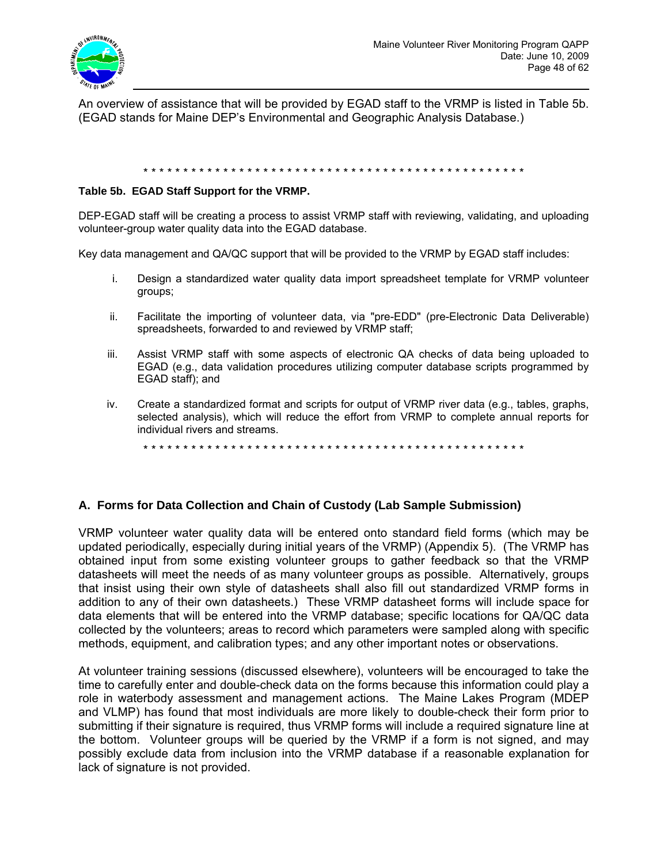

An overview of assistance that will be provided by EGAD staff to the VRMP is listed in Table 5b. (EGAD stands for Maine DEP's Environmental and Geographic Analysis Database.)

#### \* \* \* \* \* \* \* \* \* \* \* \* \* \* \* \* \* \* \* \* \* \* \* \* \* \* \* \* \* \* \* \* \* \* \* \* \* \* \* \* \* \* \* \* \* \* \* \*

#### **Table 5b. EGAD Staff Support for the VRMP.**

DEP-EGAD staff will be creating a process to assist VRMP staff with reviewing, validating, and uploading volunteer-group water quality data into the EGAD database.

Key data management and QA/QC support that will be provided to the VRMP by EGAD staff includes:

- i. Design a standardized water quality data import spreadsheet template for VRMP volunteer groups;
- ii. Facilitate the importing of volunteer data, via "pre-EDD" (pre-Electronic Data Deliverable) spreadsheets, forwarded to and reviewed by VRMP staff;
- iii. Assist VRMP staff with some aspects of electronic QA checks of data being uploaded to EGAD (e.g., data validation procedures utilizing computer database scripts programmed by EGAD staff); and
- iv. Create a standardized format and scripts for output of VRMP river data (e.g., tables, graphs, selected analysis), which will reduce the effort from VRMP to complete annual reports for individual rivers and streams.

\* \* \* \* \* \* \* \* \* \* \* \* \* \* \* \* \* \* \* \* \* \* \* \* \* \* \* \* \* \* \* \* \* \* \* \* \* \* \* \* \* \* \* \* \* \* \* \*

#### **A. Forms for Data Collection and Chain of Custody (Lab Sample Submission)**

VRMP volunteer water quality data will be entered onto standard field forms (which may be updated periodically, especially during initial years of the VRMP) (Appendix 5). (The VRMP has obtained input from some existing volunteer groups to gather feedback so that the VRMP datasheets will meet the needs of as many volunteer groups as possible. Alternatively, groups that insist using their own style of datasheets shall also fill out standardized VRMP forms in addition to any of their own datasheets.) These VRMP datasheet forms will include space for data elements that will be entered into the VRMP database; specific locations for QA/QC data collected by the volunteers; areas to record which parameters were sampled along with specific methods, equipment, and calibration types; and any other important notes or observations.

At volunteer training sessions (discussed elsewhere), volunteers will be encouraged to take the time to carefully enter and double-check data on the forms because this information could play a role in waterbody assessment and management actions. The Maine Lakes Program (MDEP and VLMP) has found that most individuals are more likely to double-check their form prior to submitting if their signature is required, thus VRMP forms will include a required signature line at the bottom. Volunteer groups will be queried by the VRMP if a form is not signed, and may possibly exclude data from inclusion into the VRMP database if a reasonable explanation for lack of signature is not provided.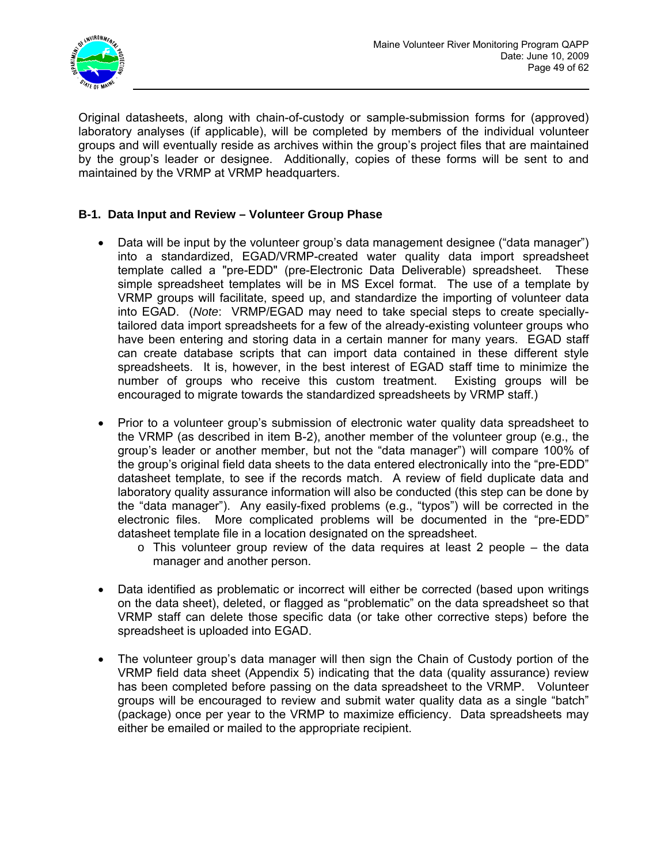

Original datasheets, along with chain-of-custody or sample-submission forms for (approved) laboratory analyses (if applicable), will be completed by members of the individual volunteer groups and will eventually reside as archives within the group's project files that are maintained by the group's leader or designee. Additionally, copies of these forms will be sent to and maintained by the VRMP at VRMP headquarters.

# **B-1. Data Input and Review – Volunteer Group Phase**

- Data will be input by the volunteer group's data management designee ("data manager") into a standardized, EGAD/VRMP-created water quality data import spreadsheet template called a "pre-EDD" (pre-Electronic Data Deliverable) spreadsheet. These simple spreadsheet templates will be in MS Excel format. The use of a template by VRMP groups will facilitate, speed up, and standardize the importing of volunteer data into EGAD. (*Note*: VRMP/EGAD may need to take special steps to create speciallytailored data import spreadsheets for a few of the already-existing volunteer groups who have been entering and storing data in a certain manner for many years. EGAD staff can create database scripts that can import data contained in these different style spreadsheets. It is, however, in the best interest of EGAD staff time to minimize the number of groups who receive this custom treatment. Existing groups will be encouraged to migrate towards the standardized spreadsheets by VRMP staff.)
- Prior to a volunteer group's submission of electronic water quality data spreadsheet to the VRMP (as described in item B-2), another member of the volunteer group (e.g., the group's leader or another member, but not the "data manager") will compare 100% of the group's original field data sheets to the data entered electronically into the "pre-EDD" datasheet template, to see if the records match. A review of field duplicate data and laboratory quality assurance information will also be conducted (this step can be done by the "data manager"). Any easily-fixed problems (e.g., "typos") will be corrected in the electronic files. More complicated problems will be documented in the "pre-EDD" datasheet template file in a location designated on the spreadsheet.
	- $\circ$  This volunteer group review of the data requires at least 2 people the data manager and another person.
- Data identified as problematic or incorrect will either be corrected (based upon writings on the data sheet), deleted, or flagged as "problematic" on the data spreadsheet so that VRMP staff can delete those specific data (or take other corrective steps) before the spreadsheet is uploaded into EGAD.
- The volunteer group's data manager will then sign the Chain of Custody portion of the VRMP field data sheet (Appendix 5) indicating that the data (quality assurance) review has been completed before passing on the data spreadsheet to the VRMP. Volunteer groups will be encouraged to review and submit water quality data as a single "batch" (package) once per year to the VRMP to maximize efficiency. Data spreadsheets may either be emailed or mailed to the appropriate recipient.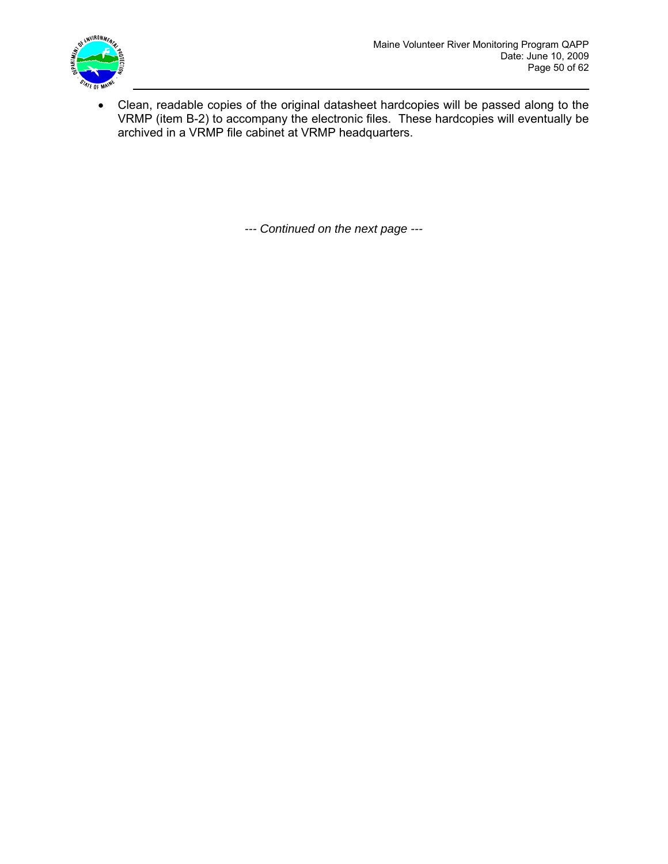

• Clean, readable copies of the original datasheet hardcopies will be passed along to the VRMP (item B-2) to accompany the electronic files. These hardcopies will eventually be archived in a VRMP file cabinet at VRMP headquarters.

*--- Continued on the next page ---*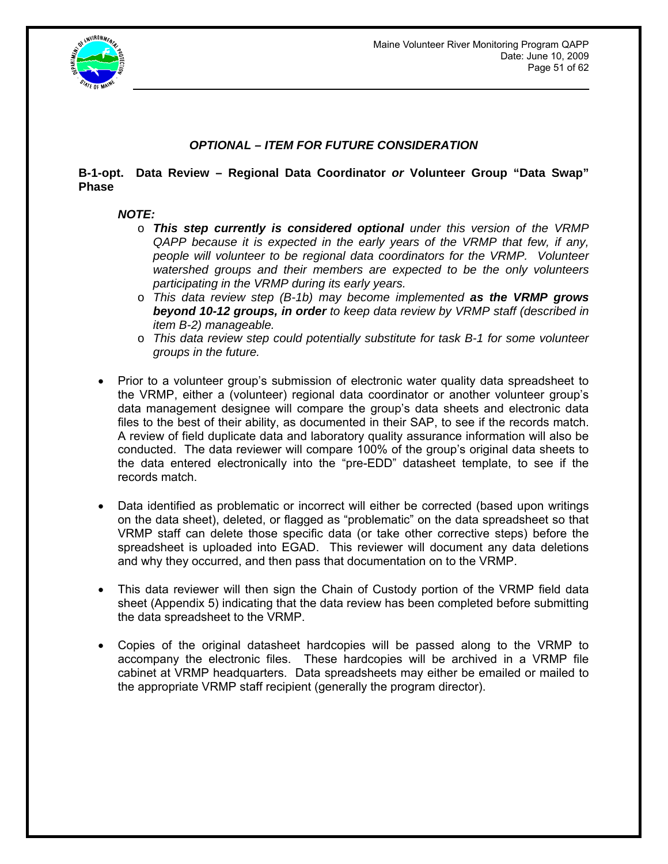

# *OPTIONAL – ITEM FOR FUTURE CONSIDERATION*

## **B-1-opt. Data Review – Regional Data Coordinator** *or* **Volunteer Group "Data Swap" Phase**

## *NOTE:*

- o *This step currently is considered optional under this version of the VRMP QAPP because it is expected in the early years of the VRMP that few, if any, people will volunteer to be regional data coordinators for the VRMP. Volunteer watershed groups and their members are expected to be the only volunteers participating in the VRMP during its early years.*
- o *This data review step (B-1b) may become implemented as the VRMP grows beyond 10-12 groups, in order to keep data review by VRMP staff (described in item B-2) manageable.*
- o *This data review step could potentially substitute for task B-1 for some volunteer groups in the future.*
- Prior to a volunteer group's submission of electronic water quality data spreadsheet to the VRMP, either a (volunteer) regional data coordinator or another volunteer group's data management designee will compare the group's data sheets and electronic data files to the best of their ability, as documented in their SAP, to see if the records match. A review of field duplicate data and laboratory quality assurance information will also be conducted. The data reviewer will compare 100% of the group's original data sheets to the data entered electronically into the "pre-EDD" datasheet template, to see if the records match.
- Data identified as problematic or incorrect will either be corrected (based upon writings on the data sheet), deleted, or flagged as "problematic" on the data spreadsheet so that VRMP staff can delete those specific data (or take other corrective steps) before the spreadsheet is uploaded into EGAD. This reviewer will document any data deletions and why they occurred, and then pass that documentation on to the VRMP.
- This data reviewer will then sign the Chain of Custody portion of the VRMP field data sheet (Appendix 5) indicating that the data review has been completed before submitting the data spreadsheet to the VRMP.
- Copies of the original datasheet hardcopies will be passed along to the VRMP to accompany the electronic files. These hardcopies will be archived in a VRMP file cabinet at VRMP headquarters. Data spreadsheets may either be emailed or mailed to the appropriate VRMP staff recipient (generally the program director).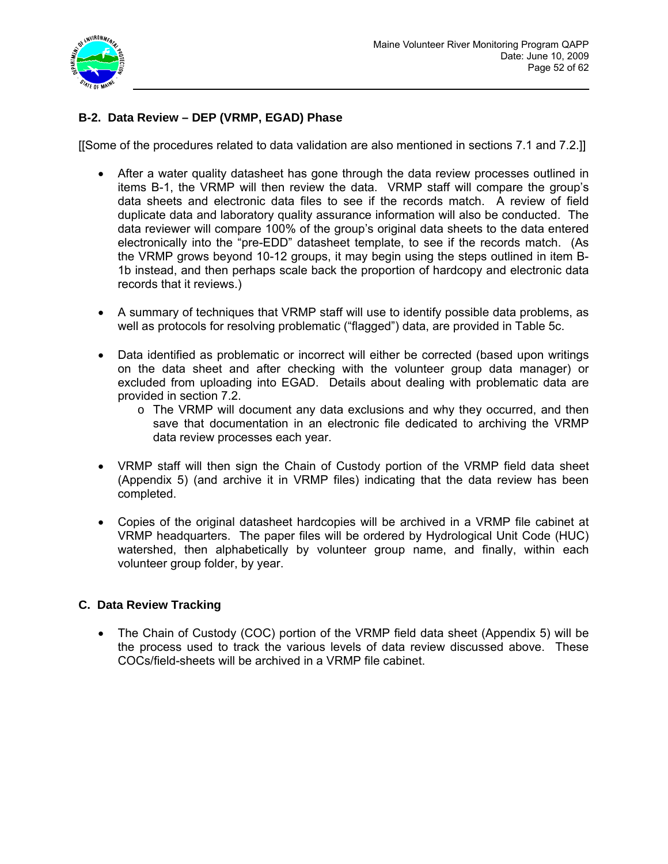

# **B-2. Data Review – DEP (VRMP, EGAD) Phase**

[[Some of the procedures related to data validation are also mentioned in sections 7.1 and 7.2.]]

- After a water quality datasheet has gone through the data review processes outlined in items B-1, the VRMP will then review the data. VRMP staff will compare the group's data sheets and electronic data files to see if the records match. A review of field duplicate data and laboratory quality assurance information will also be conducted. The data reviewer will compare 100% of the group's original data sheets to the data entered electronically into the "pre-EDD" datasheet template, to see if the records match. (As the VRMP grows beyond 10-12 groups, it may begin using the steps outlined in item B-1b instead, and then perhaps scale back the proportion of hardcopy and electronic data records that it reviews.)
- A summary of techniques that VRMP staff will use to identify possible data problems, as well as protocols for resolving problematic ("flagged") data, are provided in Table 5c.
- Data identified as problematic or incorrect will either be corrected (based upon writings on the data sheet and after checking with the volunteer group data manager) or excluded from uploading into EGAD. Details about dealing with problematic data are provided in section 7.2.
	- $\circ$  The VRMP will document any data exclusions and why they occurred, and then save that documentation in an electronic file dedicated to archiving the VRMP data review processes each year.
- VRMP staff will then sign the Chain of Custody portion of the VRMP field data sheet (Appendix 5) (and archive it in VRMP files) indicating that the data review has been completed.
- Copies of the original datasheet hardcopies will be archived in a VRMP file cabinet at VRMP headquarters. The paper files will be ordered by Hydrological Unit Code (HUC) watershed, then alphabetically by volunteer group name, and finally, within each volunteer group folder, by year.

## **C. Data Review Tracking**

• The Chain of Custody (COC) portion of the VRMP field data sheet (Appendix 5) will be the process used to track the various levels of data review discussed above. These COCs/field-sheets will be archived in a VRMP file cabinet.